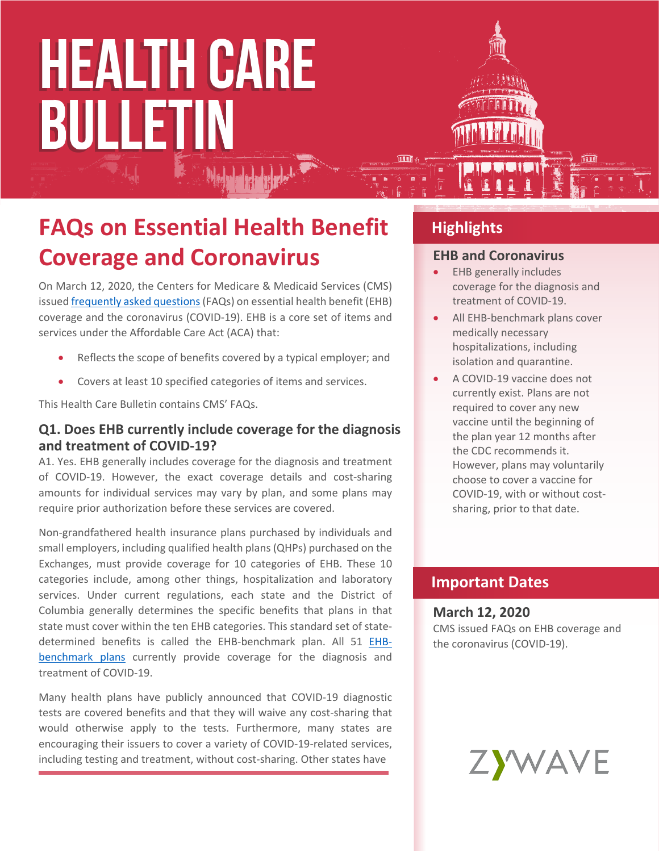# **HEALTH CARE BULLETIN**

### **FAQs on Essential Health Benefit Coverage and Coronavirus**

On March 12, 2020, the Centers for Medicare & Medicaid Services (CMS) issued [frequently asked questions](https://www.cms.gov/CCIIO/Resources/Fact-Sheets-and-FAQs/Downloads/EHB-Benchmark-Coverage-of-COVID-19.pdf) (FAQs) on essential health benefit (EHB) coverage and the coronavirus (COVID-19). EHB is a core set of items and services under the Affordable Care Act (ACA) that:

- Reflects the scope of benefits covered by a typical employer; and
- Covers at least 10 specified categories of items and services.

This Health Care Bulletin contains CMS' FAQs.

#### **Q1. Does EHB currently include coverage for the diagnosis and treatment of COVID-19?**

A1. Yes. EHB generally includes coverage for the diagnosis and treatment of COVID-19. However, the exact coverage details and cost-sharing amounts for individual services may vary by plan, and some plans may require prior authorization before these services are covered.

Non-grandfathered health insurance plans purchased by individuals and small employers, including qualified health plans (QHPs) purchased on the Exchanges, must provide coverage for 10 categories of EHB. These 10 categories include, among other things, hospitalization and laboratory services. Under current regulations, each state and the District of Columbia generally determines the specific benefits that plans in that state must cover within the ten EHB categories. This standard set of statedetermined benefits is called the EHB-benchmark plan. All 51 [EHB](https://www.cms.gov/CCIIO/Resources/Data-Resources/ehb)[benchmark plans](https://www.cms.gov/CCIIO/Resources/Data-Resources/ehb) currently provide coverage for the diagnosis and treatment of COVID-19.

Many health plans have publicly announced that COVID-19 diagnostic tests are covered benefits and that they will waive any cost-sharing that would otherwise apply to the tests. Furthermore, many states are encouraging their issuers to cover a variety of COVID-19-related services, including testing and treatment, without cost-sharing. Other states have

#### **Highlights**

#### **EHB and Coronavirus**

- EHB generally includes coverage for the diagnosis and treatment of COVID-19.
- All EHB-benchmark plans cover medically necessary hospitalizations, including isolation and quarantine.
- A COVID-19 vaccine does not currently exist. Plans are not required to cover any new vaccine until the beginning of the plan year 12 months after the CDC recommends it. However, plans may voluntarily choose to cover a vaccine for COVID-19, with or without costsharing, prior to that date.

#### **Important Dates**

#### **March 12, 2020**

CMS issued FAQs on EHB coverage and the coronavirus (COVID-19).